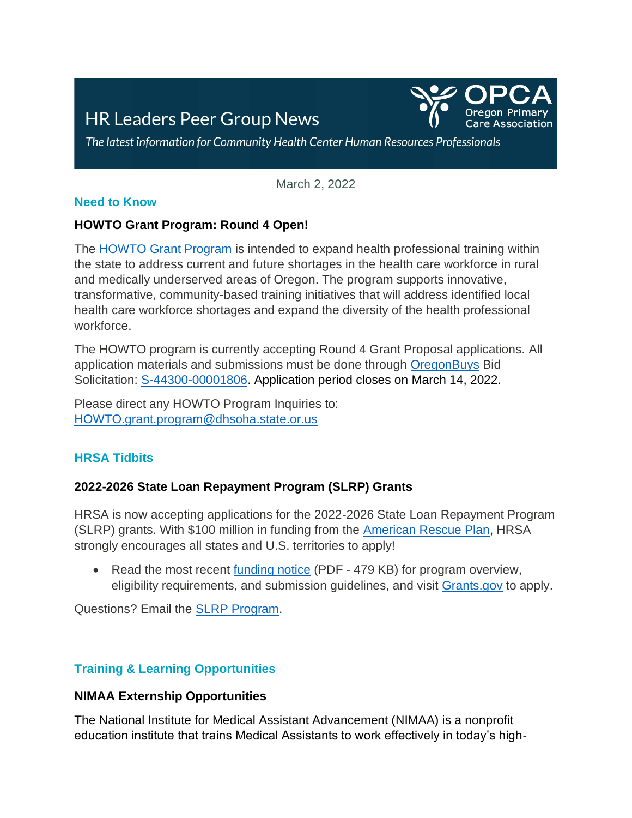# **HR Leaders Peer Group News**



The latest information for Community Health Center Human Resources Professionals

March 2, 2022

#### **Need to Know**

#### **HOWTO Grant Program: Round 4 Open!**

The [HOWTO Grant Program](https://www.oregon.gov/oha/HPA/HP-PCO/Pages/howto-grant-program.aspx) is intended to expand health professional training within the state to address current and future shortages in the health care workforce in rural and medically underserved areas of Oregon. The program supports innovative, transformative, community-based training initiatives that will address identified local health care workforce shortages and expand the diversity of the health professional workforce.

The HOWTO program is currently accepting Round 4 Grant Proposal applications. All application materials and submissions must be done through [OregonBuys](https://oregonbuys.gov/bso/view/login/login.xhtml) Bid Solicitation: [S-44300-00001806.](https://oregonbuys.gov/bso/external/bidDetail.sdo?docId=S-44300-00001806&external=true&parentUrl=close) Application period closes on March 14, 2022.

Please direct any HOWTO Program Inquiries to: [HOWTO.grant.program@dhsoha.state.or.us](mailto:HOWTO.grant.program@dhsoha.state.or.us)

## **HRSA Tidbits**

## **2022-2026 State Loan Repayment Program (SLRP) Grants**

HRSA is now accepting applications for the 2022-2026 State Loan Repayment Program (SLRP) grants. With \$100 million in funding from the [American Rescue Plan,](https://www.congress.gov/bill/117th-congress/house-bill/1319) HRSA strongly encourages all states and U.S. territories to apply!

• Read the most recent [funding notice](https://nhsc.hrsa.gov/sites/default/files/nhsc/loan-repayment/bhw-hrsa-22-048-h56-slrp-final.pdf) (PDF - 479 KB) for program overview, eligibility requirements, and submission guidelines, and visit [Grants.gov](https://www.grants.gov/) to apply.

Questions? Email the [SLRP Program.](mailto:slrp@hrsa.gov)

# **Training & Learning Opportunities**

## **NIMAA Externship Opportunities**

The National Institute for Medical Assistant Advancement (NIMAA) is a nonprofit education institute that trains Medical Assistants to work effectively in today's high